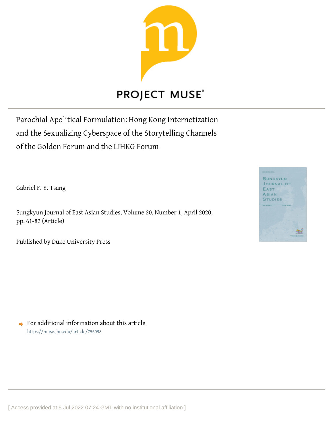

Parochial Apolitical Formulation: Hong Kong Internetization and the Sexualizing Cyberspace of the Storytelling Channels of the Golden Forum and the LIHKG Forum

Gabriel F. Y. Tsang

Sungkyun Journal of East Asian Studies, Volume 20, Number 1, April 2020, pp. 61-82 (Article)

Published by Duke University Press



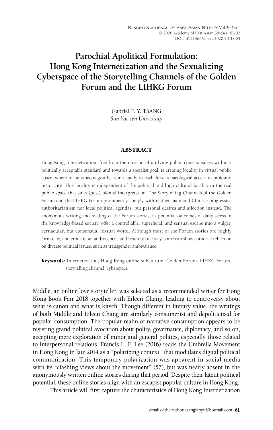# **Parochial Apolitical Formulation: Hong Kong Internetization and the Sexualizing Cyberspace of the Storytelling Channels of the Golden Forum and the LIHKG Forum**

Gabriel F. Y. TSANG *Sun Yat-sen University*

#### ABSTRACT

Hong Kong Internetization, free from the mission of unifying public consciousness within a politically acceptable standard and towards a socialist goal, is creating locality in virtual public space, where instantaneous gratification usually overwhelms archaeological access to profound historicity. This locality is independent of the political and high-cultural locality in the real public space that suits (post)colonial interpretation. The Storytelling Channels of the Golden Forum and the LIHKG Forum prominently comply with neither mainland Chinese progressive authoritarianism nor local political agendas, but personal desires and affection instead. The anonymous writing and reading of the Forum stories, as potential outcomes of daily stress in the knowledge-based society, offer a controllable, superficial, and sensual escape into a vulgar, vernacular, but consensual textual world. Although most of the Forum stories are highly formulaic, and erotic in an androcentric and heterosexual way, some can show authorial reflection on diverse political issues, such as transgender ambivalence.

Keywords: Internetization, Hong Kong online subculture, Golden Forum, LIHKG Forum, storytelling channel, cyberspace

Middle, an online love storyteller, was selected as a recommended writer for Hong Kong Book Fair 2018 together with Eileen Chang, leading to controversy about what is canon and what is kitsch. Though different in literary value, the writings of both Middle and Eileen Chang are similarly consumerist and depoliticized for popular consumption. The popular realm of narrative consumption appears to be resisting grand political avocation about polity, governance, diplomacy, and so on, accepting mere exploration of minor and general politics, especially those related to interpersonal relations. Francis L. F. Lee (2016) reads the Umbrella Movement in Hong Kong in late 2014 as a "polarizing context" that modulates digital political communication. This temporary polarization was apparent in social media with its "clashing views about the movement" (57), but was nearly absent in the anonymously written online stories during that period. Despite their latent political potential, these online stories align with an escapist popular culture in Hong Kong.

This article will first capture the characteristics of Hong Kong Internetization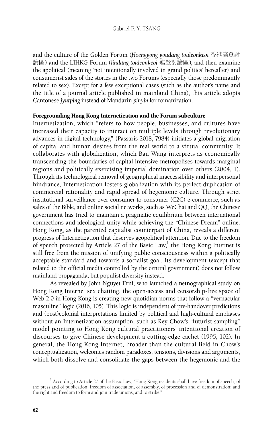and the culture of the Golden Forum (*Hoenggong goudang touleonkeoi* 香港高登討 論區) and the LIHKG Forum (*lindang touleonkeoi* 連登討論區), and then examine the apolitical (meaning 'not intentionally involved in grand politics' hereafter) and consumerist sides of the stories in the two Forums (especially those predominantly related to sex). Except for a few exceptional cases (such as the author's name and the title of a journal article published in mainland China), this article adopts Cantonese *jyutping* instead of Mandarin *pinyin* for romanization.

#### Foregrounding Hong Kong Internetization and the Forum subculture

Internetization, which "refers to how people, businesses, and cultures have increased their capacity to interact on multiple levels through revolutionary advances in digital technology," (Passaris 2018, 7984) initiates a global migration of capital and human desires from the real world to a virtual community. It collaborates with globalization, which Ban Wang interprets as economically transcending the boundaries of capital-intensive metropolises towards marginal regions and politically exercising imperial domination over others (2004, 1). Through its technological removal of geographical inaccessibility and interpersonal hindrance, Internetization fosters globalization with its perfect duplication of commercial rationality and rapid spread of hegemonic culture. Through strict institutional surveillance over consumer-to-consumer (C2C) e-commerce, such as sales of the Bible, and online social networks, such as WeChat and QQ, the Chinese government has tried to maintain a pragmatic equilibrium between international connections and ideological unity while achieving the "Chinese Dream" online. Hong Kong, as the parented capitalist counterpart of China, reveals a different progress of Internetization that deserves geopolitical attention. Due to the freedom of speech protected by Article 27 of the Basic Law, $^1$  the Hong Kong Internet is still free from the mission of unifying public consciousness within a politically acceptable standard and towards a socialist goal. Its development (except that related to the official media controlled by the central government) does not follow mainland propaganda, but populist diversity instead.

As revealed by John Nguyet Erni, who launched a netnographical study on Hong Kong Internet sex chatting, the open-access and censorship-free space of Web 2.0 in Hong Kong is creating new quotidian norms that follow a "vernacular masculine" logic (2016, 105). This logic is independent of pre-handover predictions and (post)colonial interpretations limited by political and high-cultural emphases without an Internetization assumption, such as Rey Chow's "futurist sampling" model pointing to Hong Kong cultural practitioners' intentional creation of discourses to give Chinese development a cutting-edge cachet (1995, 102). In general, the Hong Kong Internet, broader than the cultural field in Chow's conceptualization, welcomes random paradoxes, tensions, divisions and arguments, which both dissolve and consolidate the gaps between the hegemonic and the

<sup>&</sup>lt;sup>1</sup> According to Article 27 of the Basic Law, "Hong Kong residents shall have freedom of speech, of the press and of publication; freedom of association, of assembly, of procession and of demonstration; and the right and freedom to form and join trade unions, and to strike."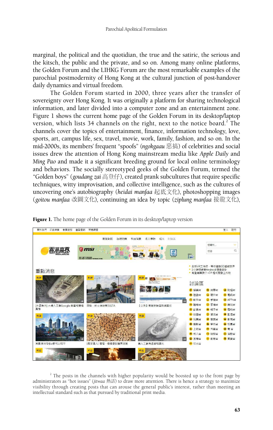marginal, the political and the quotidian, the true and the satiric, the serious and the kitsch, the public and the private, and so on. Among many online platforms, the Golden Forum and the LIHKG Forum are the most remarkable examples of the parochial postmodernity of Hong Kong at the cultural junction of post-handover daily dynamics and virtual freedom.

The Golden Forum started in 2000, three years after the transfer of sovereignty over Hong Kong. It was originally a platform for sharing technological information, and later divided into a computer zone and an entertainment zone. Figure 1 shows the current home page of the Golden Forum in its desktop/laptop version, which lists 34 channels on the right, next to the notice board.<sup>2</sup> The channels cover the topics of entertainment, finance, information technology, love, sports, art, campus life, sex, travel, movie, work, family, fashion, and so on. In the mid-2000s, its members' frequent "spoofs" (*ngokgaau* 惡搞) of celebrities and social issues drew the attention of Hong Kong mainstream media like *Apple Daily* and *Ming Pao* and made it a significant breeding ground for local online terminology and behaviors. The socially stereotyped geeks of the Golden Forum, termed the "Golden boys" (*goudang zai* 高登仔), created prank subcultures that require specific techniques, witty improvisation, and collective intelligence, such as the cultures of uncovering one's autobiography (*heidai manfaa* 起底文化), photoshopping images (*goitou manfaa* 改圖文化), continuing an idea by topic (*ziplung manfaa* 接龍文化),



Figure 1. The home page of the Golden Forum in its desktop/laptop version

 $2$  The posts in the channels with higher popularity would be boosted up to the front page by administrators as "hot issues" (*jitwaa* 熱話) to draw more attention. There is hence a strategy to maximize visibility through creating posts that can arouse the general public's interest, rather than meeting an intellectual standard such as that pursued by traditional print media.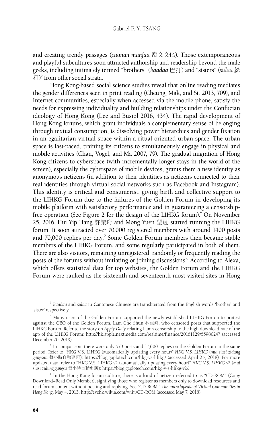and creating trendy passages (*ciuman manfaa* 潮文文化). Those extemporaneous and playful subcultures soon attracted authorship and readership beyond the male geeks, including intimately termed "brothers" (*baadaa* 巴打) and "sisters" (*sidaa* 絲  $\ket{\uparrow}$  from other social strata.

Hong Kong-based social science studies reveal that online reading mediates the gender differences seen in print reading (Cheung, Mak, and Sit 2013, 709), and Internet communities, especially when accessed via the mobile phone, satisfy the needs for expressing individuality and building relationships under the Confucian ideology of Hong Kong (Lee and Busiol 2016, 434). The rapid development of Hong Kong forums, which grant individuals a complementary sense of belonging through textual consumption, is dissolving power hierarchies and gender fixation in an egalitarian virtual space within a ritual-oriented urban space. The urban space is fast-paced, training its citizens to simultaneously engage in physical and mobile activities (Chan, Vogel, and Ma 2007, 79). The gradual migration of Hong Kong citizens to cyberspace (with incrementally longer stays in the world of the screen), especially the cyberspace of mobile devices, grants them a new identity as anonymous netizens (in addition to their identities as netizens connected to their real identities through virtual social networks such as Facebook and Instagram). This identity is critical and consumerist, giving birth and collective support to the LIHKG Forum due to the failures of the Golden Forum in developing its mobile platform with satisfactory performance and in guaranteeing a censorshipfree operation (See Figure 2 for the design of the LIHKG forum).<sup>4</sup> On November 25, 2016, Hui Yip Hang 許業珩 and Mong Yuen 望遠 started running the LIHKG forum. It soon attracted over 70,000 registered members with around 1400 posts and 70,000 replies per day.<sup>5</sup> Some Golden Forum members then became stable members of the LIHKG Forum, and some regularly participated in both of them. There are also visitors, remaining unregistered, randomly or frequently reading the posts of the forums without initiating or joining discussions.<sup>6</sup> According to Alexa, which offers statistical data for top websites, the Golden Forum and the LIHKG Forum were ranked as the sixteenth and seventeenth most visited sites in Hong

<sup>3</sup> *Baadaa* and *sidaa* in Cantonese Chinese are transliterated from the English words 'brother' and 'sister' respectively.

4 Many users of the Golden Forum supported the newly established LIHKG Forum to protest against the CEO of the Golden Forum, Lam Cho Shun 林祖舜, who censored posts that supported the LIHKG Forum. Refer to the story on *Apply Daily* relating Lam's censorship to the high download rate of the app of the LIHKG Forum: http://hk.apple.nextmedia.com/realtime/finance/20161129/55980247 (accessed December 20, 2019).

 $5$  In comparison, there were only 570 posts and 17,000 replies on the Golden Forum in the same period. Refer to "HKG V.S. LIHKG (automatically updating every hour)" *HKG V.S. LIHKG* (*mui siusi zidung gangsan* 每小時自動更新): https://blog.gaplotech.com/hkg-vs-lihkg/ (accessed April 25, 2018). For more updated data, refer to "HKG V.S. LIHKG v2 (automatically updating every hour)" *HKG V.S. LIHKG v2* (*mui siusi zidung gangsa* 每小時自動更新): https://blog.gaplotech.com/hkg-v-s-lihkg-v2/.

6 In the Hong Kong forum culture, there is a kind of netizen referred to as "CD-ROM" (Copy Download–Read Only Member), signifying those who register as members only to download resources and read forum content without posting and replying. See "CD-ROM." *The Encyclopedia of Virtual Communities in Hong Kong*, May 4, 2013. http://evchk.wikia.com/wiki/CD-ROM (accessed May 7, 2018).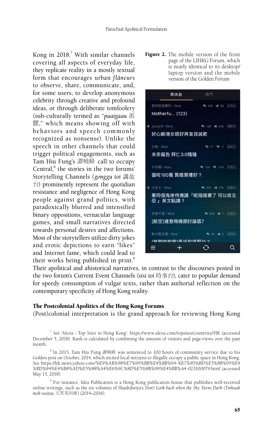Kong in 2018.<sup>7</sup> With similar channels covering all aspects of everyday life, they replicate reality in a mostly textual form that encourages urban *flâneurs* to observe, share, communicate, and, for some users, to develop anonymous celebrity through creative and profound ideas, or through deliberate tomfoolery (sub-culturally termed as "*paaigaau* 派 膠," which means showing off with behaviors and speech commonly recognized as nonsense). Unlike the speech in other channels that could trigger political engagements, such as Tam Hiu Fung's 譚曉峰 call to occupy Central,<sup>8</sup> the stories in the two forums' Storytelling Channels (*gonggu toi* 講故  $\Rightarrow$ ) prominently represent the quotidian resistance and negligence of Hong Kong people against grand politics, with paradoxically blurred and intensified binary oppositions, vernacular language games, and small narratives directed towards personal desires and affections. Most of the storytellers utilize dirty jokes and erotic depictions to earn "likes" and Internet fame, which could lead to their works being published in print.<sup>9</sup>

Figure 2. The mobile version of the front page of the LIHKG Forum, which is nearly identical to its desktop/ laptop version and the mobile version of the Golden Forum



Their apolitical and ahistorical narratives, in contrast to the discourses posted in the two forum's Current Event Channels (*sisi toi* 時事台), cater to popular demand for speedy consumption of vulgar texts, rather than authorial reflection on the contemporary specificity of Hong Kong reality.

#### The Postcolonial Apolitics of the Hong Kong Forums

(Post)colonial interpretation is the grand approach for reviewing Hong Kong

<sup>7</sup> See 'Alexa - Top Sites in Hong Kong': https://www.alexa.com/topsites/countries/HK (accessed December 5, 2018). Rank is calculated by combining the amount of visitors and page-views over the past month.

 $^8$  In 2015, Tam Hiu Fung 譚曉峰 was sentenced to 100 hours of community service due to his Golden post on October, 2014, which incited local netizens to illegally occupy a public space in Hong Kong. See https://hk.news.yahoo.com/%E9%AB%98%E7%99%BB%E4%BB%94-%E7%85%BD%E5%8B%95%E4 %BD%94%E4%B8%AD%E5%88%A4%E6%9C%8D%E5%8B%99%E4%BB%A4-023100079.html (accessed May 15, 2018).

<sup>&</sup>lt;sup>9</sup> For instance, Idea Publication is a Hong Kong publication house that publishes well-received online writings, such as the six volumes of Shashibeiya's *Don't Look back when the Sky Turns Dark* (*Tinhaak mok wuitau* 天黑莫回頭) (2014*–*2016).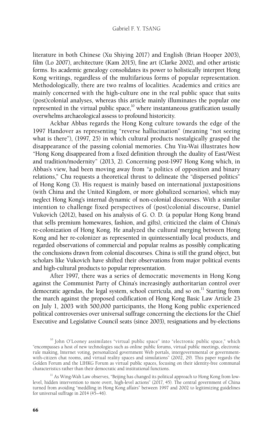literature in both Chinese (Xu Shiying 2017) and English (Brian Hooper 2003), film (Lo 2007), architecture (Kam 2015), fine art (Clarke 2002), and other artistic forms. Its academic genealogy consolidates its power to holistically interpret Hong Kong writings, regardless of the multifarious forms of popular representation. Methodologically, there are two realms of localities. Academics and critics are mainly concerned with the high-culture one in the real public space that suits (post)colonial analyses, whereas this article mainly illuminates the popular one represented in the virtual public space, $\frac{10}{10}$  where instantaneous gratification usually overwhelms archaeological assess to profound historicity.

Ackbar Abbas regards the Hong Kong culture towards the edge of the 1997 Handover as representing "reverse hallucination" (meaning "not seeing what is there"), (1997, 25) in which cultural products nostalgically grasped the disappearance of the passing colonial memories. Chu Yiu-Wai illustrates how "Hong Kong disappeared from a fixed definition through the duality of East/West and tradition/modernity" (2013, 2). Concerning post-1997 Hong Kong which, in Abbas's view, had been moving away from "a politics of opposition and binary relations," Chu requests a theoretical thrust to delineate the "dispersed politics" of Hong Kong (3). His request is mainly based on international juxtapositions (with China and the United Kingdom, or more globalized scenarios), which may neglect Hong Kong's internal dynamic of non-colonial discourses. With a similar intention to challenge fixed perspectives of (post)colonial discourse, Daniel Vukovich (2012), based on his analysis of G. O. D. (a popular Hong Kong brand that sells premium homewares, fashion, and gifts), criticized the claim of China's re-colonization of Hong Kong. He analyzed the cultural merging between Hong Kong and her re-colonizer as represented in quintessentially local products, and regarded observations of commercial and popular realms as possibly complicating the conclusions drawn from colonial discourses. China is still the grand object, but scholars like Vukovich have shifted their observations from major political events and high-cultural products to popular representation.

After 1997, there was a series of democratic movements in Hong Kong against the Communist Party of China's increasingly authoritarian control over democratic agendas, the legal system, school curricula, and so on.<sup>11</sup> Starting from the march against the proposed codification of Hong Kong Basic Law Article 23 on July 1, 2003 with 500,000 participants, the Hong Kong public experienced political controversies over universal suffrage concerning the elections for the Chief Executive and Legislative Council seats (since 2003), resignations and by-elections

<sup>&</sup>lt;sup>10</sup> John O'Looney assimilates "virtual public space" into "electronic public space," which "encompasses a host of new technologies such as online public forums, virtual public meetings, electronic rule making, Internet voting, personalized government Web portals, intergovernmental or governmentwith-citizen chat rooms, and virtual reality spaces and simulations" (2002, 29). This paper regards the Golden Forum and the LIHKG Forum as virtual public spaces, focusing on their identity-free communal characteristics rather than their democratic and institutional functions.

 $11$  As Wing-Wah Law observes, "Beijing has changed its political approach to Hong Kong from lowlevel, hidden intervention to more overt, high-level actions" (2017, 45). The central government of China turned from avoiding "meddling in Hong Kong affairs" between 1997 and 2002 to legitimizing guidelines for universal suffrage in 2014 (45–46).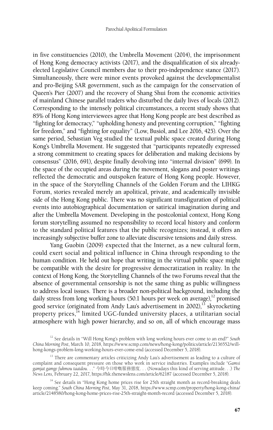in five constituencies (2010), the Umbrella Movement (2014), the imprisonment of Hong Kong democracy activists (2017), and the disqualification of six alreadyelected Legislative Council members due to their pro-independence stance (2017). Simultaneously, there were minor events provoked against the developmentalist and pro-Beijing SAR government, such as the campaign for the conservation of Queen's Pier (2007) and the recovery of Shang Shui from the economic activities of mainland Chinese parallel traders who disturbed the daily lives of locals (2012). Corresponding to the intensely political circumstances, a recent study shows that 85% of Hong Kong interviewees agree that Hong Kong people are best described as "fighting for democracy," "upholding honesty and preventing corruption," "fighting for freedom," and "fighting for equality" (Low, Busiol, and Lee 2016, 425). Over the same period, Sebastian Veg studied the textual public space created during Hong Kong's Umbrella Movement. He suggested that "participants repeatedly expressed a strong commitment to creating spaces for deliberation and making decisions by consensus" (2016, 691), despite finally devolving into "internal division" (699). In the space of the occupied areas during the movement, slogans and poster writings reflected the democratic and outspoken feature of Hong Kong people. However, in the space of the Storytelling Channels of the Golden Forum and the LIHKG Forum, stories revealed merely an apolitical, private, and academically invisible side of the Hong Kong public. There was no significant transfiguration of political events into autobiographical documentation or satirical imagination during and after the Umbrella Movement. Developing in the postcolonial context, Hong Kong forum storytelling assumed no responsibility to record local history and conform to the standard political features that the public recognizes; instead, it offers an increasingly subjective buffer zone to alleviate discursive tensions and daily stress.

Yang Guobin (2009) expected that the Internet, as a new cultural form, could exert social and political influence in China through responding to the human condition. He held out hope that writing in the virtual public space might be compatible with the desire for progressive democratization in reality. In the context of Hong Kong, the Storytelling Channels of the two Forums reveal that the absence of governmental censorship is not the same thing as public willingness to address local issues. There is a broader non-political background, including the daily stress from long working hours (50.1 hours per week on average), $^{12}$  promised good service (originated from Andy Lau's advertisement in  $2002$ ),<sup>13</sup> skyrocketing property prices,<sup>14</sup> limited UGC-funded university places, a utilitarian social atmosphere with high power hierarchy, and so on, all of which encourage mass

<sup>12</sup> See details in "Will Hong Kong's problem with long working hours ever come to an end?" *South China Morning Post*, March 10, 2018, https://www.scmp.com/news/hong-kong/politics/article/2136552/willhong-kongs-problem-long-working-hours-ever-come-end (accessed December 5, 2018).

<sup>&</sup>lt;sup>13</sup> There are commentary articles criticizing Andy Lau's advertisement as leading to a culture of complaint and consequent pressure on those who work in service industries. Examples include "*Gamsi gamjat gamge fukmou taaidou*. . ." 今時今日咁嘅服務態度. . . (Nowadays this kind of serving attitude. . .) *The News Lens*, February 22, 2017, https://hk.thenewslens.com/article/62187 (accessed December 5, 2018).

<sup>&</sup>lt;sup>14</sup> See details in "Hong Kong home prices rise for 25th straight month as record-breaking deals keep coming." *South China Morning Post*, May 31, 2018, https://www.scmp.com/property/hong-kong-china/ article/2148580/hong-kong-home-prices-rise-25th-straight-month-record (accessed December 5, 2018).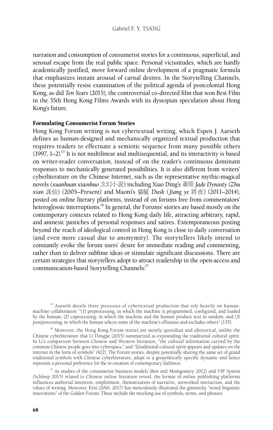narration and consumption of consumerist stories for a continuous, superficial, and sensual escape from the real public space. Personal vicissitudes, which are hardly academically justified, move forward online development of a pragmatic formula that emphasizes instant arousal of carnal desires. In the Storytelling Channels, these potentially resist examination of the political agenda of postcolonial Hong Kong, as did *Ten Years* (2015), the controversial co-directed film that won Best Film in the 35th Hong Kong Films Awards with its dystopian speculation about Hong Kong's future.

#### Formulating Consumerist Forum Stories

Hong Kong Forum writing is not cybertextual writing, which Espen J. Aarseth defines as human-designed and mechanically organized textual production that requires readers to effectuate a semiotic sequence from many possible others  $(1997, 1-2)$ .<sup>15</sup> It is not multilinear and multisequential, and its interactivity is based on writer-reader conversation, instead of on the reader's continuous dominant responses to mechanically generated possibilities. It is also different from writers' cyberliterature on the Chinese Internet, such as the representative mythic-magical novels (*xuanhuan xiaoshuo* 玄幻小說) including Xiao Ding's 蕭鼎 *Jade Dynasty* (*Zhu xian* 誅仙) (2005–Present) and Maoni's 貓膩 *Dusk* (*Jiang ye* 將夜) (2011–2014), posted on online literary platforms, instead of on forums free from commentators' heteroglossic interruptions.<sup>16</sup> In general, the Forums' stories are based mostly on the contemporary contexts related to Hong Kong daily life, attracting arbitrary, rapid, and amnesic pastiches of personal responses and satires. Extemporaneous posting beyond the reach of ideological control in Hong Kong is close to daily conversation (and even more casual due to anonymity). The storytellers likely intend to constantly evoke the forum users' desire for immediate reading and commenting, rather than to deliver sublime ideas or stimulate significant discussions. There are certain strategies that storytellers adopt to attract readership in the open-access and communication-based Storytelling Channels:<sup>17</sup>

<sup>15</sup> Aarseth details three processes of cybertextual production that rely heavily on humanmachine collaboration: "(1) preprocessing, in which the machine is programmed, configured, and loaded by the human; (2) coprocessing, in which the machine and the human produce text in tandem; and (3) postprocessing, in which the human selects some of the machine's effusions and excludes others" (135).

<sup>16</sup> Moreover, the Hong Kong Forum stories are mostly quotidian and ahistorical, unlike the Chinese cyberliterature that Li Dongjie (2015) summarized as expounding the traditional cultural spirit. In Li's comparison between Chinese and Western literature, "the cultural information carried by the common Chinese people goes into cyberspace," and "[t]raditional cultural spirit appears and updates on the internet in the form of symbols" (422). The Forum stories, despite potentially sharing the same set of grand traditional symbols with Chinese cyberliterature, adapt to a geopolitically specific dynamic and hence represent a personal preference for the re-creation of contemporary dailiness.

<sup>17</sup> As studies of the consumerist business models (Ren and Montgomery 2012) and VIP System (Schleep 2015) related to Chinese online literature reveal, the format of online publishing platforms influences authorial intention, emplotment, thematization of narrative, networked interaction, and the values of writing. Moreover, Erni (2016, 2017) has meticulously illustrated the gimmicky "sexed linguistic innovations" of the Golden Forum. These include the mocking use of symbols, terms, and phrases.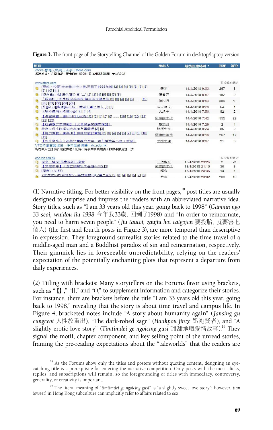|  |  |  |  |  |  | Figure 3. The front page of the Storytelling Channel of the Golden Forum in desktop/laptop version |
|--|--|--|--|--|--|----------------------------------------------------------------------------------------------------|
|--|--|--|--|--|--|----------------------------------------------------------------------------------------------------|

| 題目                                                                           | 發起人   | 最後回應時間,         | 回覆             | 评分              |
|------------------------------------------------------------------------------|-------|-----------------|----------------|-----------------|
| Ztore-香港人嘅網上士多   ztore.com                                                   |       |                 |                |                 |
| 香港品牌、米語油鹽、零食餅乾 6000+ 胃滿HK\$300即日免費送貨!                                        |       |                 |                |                 |
| www.ztore.com                                                                |       |                 | 雅虎智助網站         |                 |
| (穿越、校園)今年我三十三歲,回到了1998年(6)[2][3][4][5][6][7][8]                              | 春泥    | 14/4/2018 9:03  | 267            |                 |
| [9] [10] [11]                                                                |       |                 |                | 8               |
| [深夜重口味] 黑色蒲公英 (二) [2] [3] [4] [5] [6] [Z] [8]                                | 慢嘗君   | 14/4/2018 8:57  | 182            | $\Omega$        |
| 「罐遊記」如來設局始西遊 輪迴百世還未休 [2] [3] [4] [5] [6] …… [19]<br>[20] [21] [22] [23] [24] | 陳四月   | 14/4/2018 8:54  | 589            | 59              |
| 故  奇幻  癬線 要投胎,就要去害七個人 [2] [3]                                                | 組入敵卡  | 14/4/2018 8:23  | 64             | $\overline{1}$  |
| 《瑜不權瑕》類當小說[2][3][4]                                                          | 天洛卡   | 14/4/2018 7:50  | 82             | $\overline{2}$  |
| 【長篇連載,諸Hi Hi 】 Lucifer [2] [3] [4] [5] [6]  [18] [19] [20] [21]<br>[22] [23] | 極端的年代 | 14/4/2018 7:42  | 555            | 22              |
| 【找錯處文字遊戲】《火星移民官調杳檔案》<br>n                                                    | 麥加丹   | 14/4/2018 7:29  | $\overline{2}$ | $\overline{1}$  |
| 我寫方個小額唔知大家有有興趣勝 [2] [3]                                                      | 檔樣字女  | 14/4/2018 0:24  | 56             | 0               |
| 【接力達載,瞻暮HI】通往地獄的電機 [2] [3] [4] [5] [6] [7] [8] [9] [10]<br>[11]              | 極端的年代 | 14/4/2018 0:13  | 267            | 17              |
| 【為什麼所有人都無法單純的做自己呢】棟第笑小說《波瀾》                                                  | 史提夫陳  | 14/4/2018 0:07  | 21             | $^{\circ}$      |
| VTC持續專業進修 - 多元進修選擇   vtc.edu.hk<br>為在職人士提供多元化課程,配合不同事業發展需要,肋你事業更進一步          |       |                 |                |                 |
| cpe.vtc.edu.hk                                                               |       |                 | 雅虎智助網站         |                 |
| 原來,編SP像會編到出直愛                                                                | 三個條瓜  | 13/4/2018 23:26 | $\overline{2}$ | $-3$            |
| 【常威中史】大渚亡國關我老母蛋牛治2121                                                        | 極端的年代 | 13/4/2018 21:15 | 30             | 8               |
| [障害] (知節)                                                                    | 解中    | 13/4/2018 20:36 | 13             | $\mathbf{1}$    |
| <武俠故><打到飛起> - 英雄莫歎(3) <第二部> [2] [3] [4] [5] [6] [7] [8]                      | 标语    | 13/4/2018 20:02 | 203            | 10 <sup>1</sup> |

(1) Narrative titling: For better visibility on the front pages, $18$  post titles are usually designed to surprise and impress the readers with an abbreviated narrative idea. Story titles, such as "I am 33 years old this year, going back to 1998" (*Gamnin ngo 33 seoi, wuidou liu 1998* 今年我33歲,回到了1998) and "In order to reincarnate, you need to harm seven people" (*Jiu tautoi, zaujiu hoi catgojan* 要投胎,就要害七 個人) (the first and fourth posts in Figure 3), are more temporal than descriptive in expression. They foreground surrealist stories related to the time travel of a middle-aged man and a Buddhist paradox of sin and reincarnation, respectively. Their gimmick lies in foreseeable unpredictability, relying on the readers' expectation of the potentially enchanting plots that represent a departure from daily experiences.

(2) Titling with brackets: Many storytellers on the Forums favor using brackets, such as "【】," "[]," and "()," to supplement information and categorize their stories. For instance, there are brackets before the title "I am 33 years old this year, going back to 1998," revealing that the story is about time travel and campus life. In Figure 4, bracketed notes include "A story about humanity again" (*Jansing gu cungceot* 人性故重出), "The dark-robed sage" (*Haakpou jinze* 黑袍賢者), and "A slightly erotic love story" (*Timtimdei ge ngoicing gusi* 甜甜地嘅愛情故事).19 They signal the motif, chapter component, and key selling point of the unread stories, framing the pre-reading expectations about the "taleworlds" that the readers are

 $18$  As the Forums show only the titles and posters without quoting content, designing an eyecatching title is a prerequisite for entering the narrative competition. Only posts with the most clicks, replies, and subscriptions will remain, so the foregrounding of titles with immediacy, controversy, generality, or creativity is important.

<sup>19</sup> The literal meaning of "*timtimdei ge ngoicing gusi*" is "a slightly sweet love story"; however, *tian*  (sweet) in Hong Kong subculture can implicitly refer to affairs related to sex.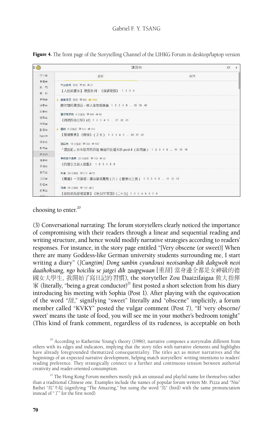

Figure 4. The front page of the Storytelling Channel of the LIHKG Forum in desktop/laptop version

## choosing to enter. $20$

(3) Conversational narrating: The forum storytellers clearly noticed the importance of compromising with their readers through a linear and sequential reading and writing structure, and hence would modify narrative strategies according to readers' responses. For instance, in the story page entitled "[Very obscene (or sweet)] When there are many Goddess-like German university students surrounding me, I start writing a diary" (*[Cungtim] Dong sanbin cyundousi neoisankap dik dakgwok neoi daaihoksang, ngo hoiciliu se jatgei dik zaapgwaan*[重甜]當身邊全都是女神級的德 國女大學生,我開始了寫日記的習慣), the storyteller Zou Daaizifaigaa 做大指揮  $\mathcal{R}$  (literally, "being a great conductor)<sup>21</sup> first posted a short selection from his diary introducing his meeting with Sophia (Post 1). After playing with the equivocation of the word "甜," signifying "sweet" literally and "obscene" implicitly, a forum member called "KVKY" posted the vulgar comment (Post 7), "If 'very obscene/ sweet' means the taste of food, you will see me in your mother's bedroom tonight" (This kind of frank comment, regardless of its rudeness, is acceptable on both

 $20$  According to Katherine Young's theory (1986), narrative composes a storyrealm different from others with its edges and indicators, implying that the story titles with narrative elements and highlights have already foregrounded thematized consequentiality. The titles act as minor narratives and the beginnings of an expected narrative development, helping match storytellers' writing intentions to readers' reading preference. They strategically connect to a further and continuous tension between authorial creativity and reader-oriented consumption.

<sup>&</sup>lt;sup>21</sup> The Hong Kong Forum members mostly pick an unusual and playful name for themselves rather than a traditional Chinese one. Examples include the names of popular forum writers Mr. Pizza and "Niu" Bathei "鳥"不起 (signifying "The Amazing," but using the word "鳥" (bird) with the same pronunciation instead of "了" for the first word).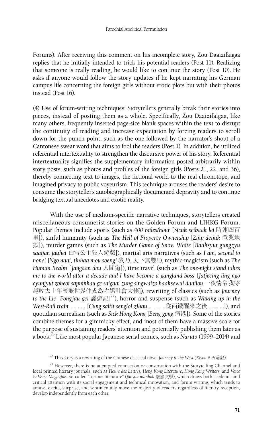Forums). After receiving this comment on his incomplete story, Zou Daaizifaigaa replies that he initially intended to trick his potential readers (Post 11). Realizing that someone is really reading, he would like to continue the story (Post 10). He asks if anyone would follow the story updates if he kept narrating his German campus life concerning the foreign girls without erotic plots but with their photos instead (Post 16).

(4) Use of forum-writing techniques: Storytellers generally break their stories into pieces, instead of posting them as a whole. Specifically, Zou Daaizifaigaa, like many others, frequently inserted page-size blank spaces within the text to disrupt the continuity of reading and increase expectation by forcing readers to scroll down for the punch point, such as the one followed by the narrator's shout of a Cantonese swear word that aims to fool the readers (Post 1). In addition, he utilized referential intertexuality to strengthen the discursive power of his story. Referential intertextuality signifies the supplementary information posted arbitrarily within story posts, such as photos and profiles of the foreign girls (Posts 21, 22, and 36), thereby connecting text to images, the fictional world to the real chronotope, and imagined privacy to public voyeurism. This technique arouses the readers' desire to consume the storyteller's autobiographically documented depravity and to continue bridging textual anecdotes and exotic reality.

With the use of medium-specific narrative techniques, storytellers created miscellaneous consumerist stories on the Golden Forum and LIHKG Forum. Popular themes include sports (such as *400 miles/hour* [*Sicuk seibaak lei* 時速四百 里]), sinful humanity (such as *The Hell of Property Ownership* [*Zijip deijuk* 置業地 獄]), murder games (such as *The Murder Game of Snow White* [*Baaksyut gungzyu saaijan jauhei* 白雪公主殺人遊戲]), martial arts narratives (such as *I am, second to none!* [*Ngo naai, tinhaa mou soeng!* 我乃, 天下無雙!]), mythic-magicism (such as *The Human Realm* [*Jangaan dou* 人間道]), time travel (such as *The one-night stand takes me to the world after a decade and I have become a gangland boss* [*Jatjecing ling ngo cyunjyut zoheoi sapninhau ge saigaai zung singwaizo haaksewui daailou* 一夜情令我穿 越咗去十年後嘅世界仲成為咗黑社會大佬]), rewriting of classics (such as *Journey to the Lie* [*Fongjau gei* 謊遊記] 22), horror and suspense (such as *Waking up in the West-Rail train*. . . . . . [*Cung saitit sengloi zihau*. . . . . . 從西鐵醒來之後. . . . . .]), and quotidian surrealism (such as *Sick Hong Kong* [*Beng gong* 病港]). Some of the stories combine themes for a gimmicky effect, and most of them have a massive scale for the purpose of sustaining readers' attention and potentially publishing them later as a book.23 Like most popular Japanese serial comics, such as *Naruto* (1999–2014) and

<sup>22</sup> This story is a rewriting of the Chinese classical novel *Journey to the West* (*Xiyou ji* 西遊記).

<sup>&</sup>lt;sup>23</sup> However, there is no attempted connection or conversation with the Storytelling Channel and local printed literary journals, such as *Fleurs des Lettres*, *Hong Kong Literature*, *Hong Kong Writers*, and *Voice & Verse Magazine*. So-called "serious literature" (*jimsuk manhok* 嚴肅文學), which draws both academic and critical attention with its social engagement and technical innovation, and forum writing, which tends to amuse, excite, surprise, and sentimentally move the majority of readers regardless of literary reception, develop independently from each other.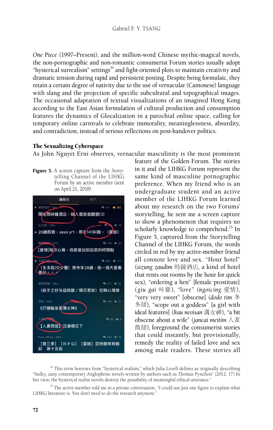*One Piece* (1997–Present), and the million-word Chinese mythic-magical novels, the non-pornographic and non-romantic consumerist Forum stories usually adopt "hysterical surrealism" settings $^{24}$  and fight-oriented plots to maintain creativity and dramatic tension during rapid and persistent posting. Despite being formulaic, they retain a certain degree of nativity due to the use of vernacular (Cantonese) language with slang and the projection of specific subcultural and topographical images. The occasional adaptation of textual visualizations of an imagined Hong Kong according to the East Asian formulation of cultural production and consumption features the dynamics of Glocalization in a parochial online space, calling for temporary online carnivals to celebrate immorality, meaninglessness, absurdity, and contradiction, instead of serious reflections on post-handover politics.

## The Sexualizing Cyberspace

As John Nguyet Erni observes, vernacular masculinity is the most prominent

Figure 5. A screen capture from the Storytelling Channel of the LIHKG Forum by an active member (sent on April 21, 2018)



feature of the Golden Forum. The stories in it and the LIHKG Forum represent the same kind of masculine pornographic preference. When my friend who is an undergraduate student and an active member of the LIHKG Forum learned about my research on the two Forums' storytelling, he sent me a screen capture to show a phenomenon that requires no scholarly knowledge to comprehend.<sup>25</sup> In Figure 5, captured from the Storytelling Channel of the LIHKG Forum, the words circled in red by my active-member friend all connote love and sex. "Hour hotel" (*sizung zaudim* 時鐘酒店, a kind of hotel that rents out rooms by the hour for quick sex), "ordering a hen" [female prostitute] (*giu gai* 叫雞), "love" (*ngoicing* 愛情), "very very sweet" [obscene] (*dodo tim* 多 多甜), "scope out a goddess" [a girl with ideal features] (*kau neoisan* 溝女神), "a bit obscene about a wife" (*jancai meitim* 人妻 微甜), foreground the consumerist stories that could instantly, but provisionally, remedy the reality of failed love and sex among male readers. These stories all

 $24$  This term borrows from "hysterical realism," which Julia Lovell defines as originally describing "bulky, zany contemporary Anglophone novels written by authors such as Thomas Pynchon" (2012, 17) In her view, the hysterical realist novels destroy the possibility of meaningful ethical utterance."

 $25$  The active member told me in a private conversation, "I could use just one figure to explain what LIHKG literature is. You don't need to do the research anymore."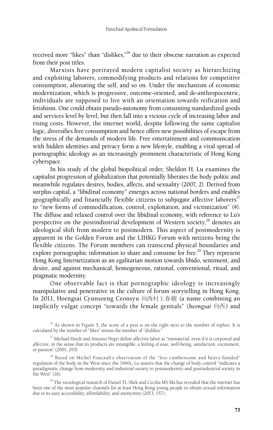received more "likes" than "dislikes,"<sup>26</sup> due to their obscene narration as expected from their post titles.

Marxists have portrayed modern capitalist society as hierarchizing and exploiting laborers, commodifying products and relations for competitive consumption, alienating the self, and so on. Under the mechanism of economic modernization, which is progressive, outcome-oriented, and de-anthropocentric, individuals are supposed to live with an orientation towards reification and fetishism. One could obtain pseudo-autonomy from consuming standardized goods and services level by level, but then fall into a vicious cycle of increasing labor and rising costs. However, the internet world, despite following the same capitalist logic, diversifies free consumption and hence offers new possibilities of escape from the stress of the demands of modern life. Free entertainment and communication with hidden identities and privacy form a new lifestyle, enabling a viral spread of pornographic ideology as an increasingly prominent characteristic of Hong Kong cyberspace.

In his study of the global biopolitical order, Sheldon H. Lu examines the capitalist progression of globalization that potentially liberates the body politic and meanwhile regulates desires, bodies, affects, and sexuality (2007, 2). Derived from surplus capital, a "libidinal economy" emerges across national borders and enables geographically and financially flexible citizens to subjugate affective laborers<sup>27</sup> to "new forms of commodification, control, exploitation, and victimization" (4). The diffuse and relaxed control over the libidinal economy, with reference to Lu's perspective on the postindustrial development of Western society, $^{28}$  denotes an ideological shift from modern to postmodern. This aspect of postmodernity is apparent in the Golden Forum and the LIHKG Forum with netizens being the flexible citizens. The Forum members can transcend physical boundaries and explore pornographic information to share and consume for free.<sup>29</sup> They represent Hong Kong Internetization as an egalitarian motion towards libido, sentiment, and desire, and against mechanical, homogeneous, rational, conventional, ritual, and pragmatic modernity.

One observable fact is that pornographic ideology is increasingly manipulative and penetrative in the culture of forum storytelling in Hong Kong. In 2011, Hoengsai Cyunsoeng Ceonsyu 向西村上春樹 (a name combining an implicitly vulgar concept "towards the female genitals" (*heongsai* 向西) and

 $26$  As shown in Figure 5, the score of a post is on the right next to the number of replies. It is calculated by the number of "likes" minus the number of "dislikes."

 $^{27}$  Michael Hardt and Antonio Negri define affective labor as "immaterial, even if it is corporeal and affective, in the sense that its products are intangible, a feeling of ease, well-being, satisfaction, excitement, or passion" (2001, 293).

<sup>28</sup> Based on Michel Foucault's observation of the "less cumbersome and heavy-handed" regulation of the body in the West since the 1960s, Lu asserts that the change of body control "indicates a paradigmatic change from modernity and industrial society to postmodernity and postindustrial society in the West" (16).

<sup>29</sup> The sociological research of Daniel TL Shek and Cecilia MS Ma has revealed that the internet has been one of the most popular channels for at least Hong Kong young people to obtain sexual information due to its easy accessibility, affordability, and anonymity (2013, 157).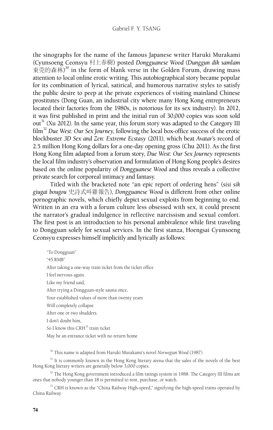#### Gabriel F. Y. TSANG

the sinographs for the name of the famous Japanese writer Haruki Murakami (Cyunsoeng Ceonsyu 村上春樹) posted *Dongguanese Wood* (*Dunggun dik samlam* 東莞的森林)<sup>30</sup> in the form of blank verse in the Golden Forum, drawing mass attention to local online erotic writing. This autobiographical story became popular for its combination of lyrical, satirical, and humorous narrative styles to satisfy the public desire to peep at the private experiences of visiting mainland Chinese prostitutes (Dong Guan, an industrial city where many Hong Kong entrepreneurs located their factories from the 1980s, is notorious for its sex industry). In 2012, it was first published in print and the initial run of 30,000 copies was soon sold out<sup>31</sup> (Xu 2012). In the same year, this forum story was adapted to the Category III film<sup>32</sup> *Due West: Our Sex Journey*, following the local box-office success of the erotic blockbuster *3D Sex and Zen: Extreme Ecstasy* (2011), which beat *Avatar*'s record of 2.5 million Hong Kong dollars for a one-day opening gross (Chu 2011). As the first Hong Kong film adapted from a forum story, *Due West: Our Sex Journey* represents the local film industry's observation and formulation of Hong Kong people's desires based on the online popularity of *Dongguanese Wood* and thus reveals a collective private search for corporeal intimacy and fantasy.

Titled with the bracketed note "an epic report of ordering hens" (*sisi sik giugai bougou* 史詩式叫雞報告), *Dongguanese Wood* is different from other online pornographic novels, which chiefly depict sexual exploits from beginning to end. Written in an era with a forum culture less obsessed with sex, it could present the narrator's gradual indulgence in reflective narcissism and sexual comfort. The first post is an introduction to his personal ambivalence while first traveling to Dongguan solely for sexual services. In the first stanza, Hoengsai Cyunsoeng Ceonsyu expresses himself implicitly and lyrically as follows:

"To Dongguan" "45 RMB" After taking a one-way train ticket from the ticket office I feel nervous again. Like my friend said, After trying a Dongguan-style sauna once, Your established values of more than twenty years Will completely collapse After one or two shudders. I don't doubt him, So I know this CRH<sup>33</sup> train ticket May be an entrance ticket with no return home

30 This name is adapted from Haruki Murakami's novel *Norwegian Wood* (1987).

<sup>31</sup> It is commonly known in the Hong Kong literary arena that the sales of the novels of the best Hong Kong literary writers are generally below 3,000 copies.

 $32$  The Hong Kong government introduced a film ratings system in 1988. The Category III films are ones that nobody younger than 18 is permitted to rent, purchase, or watch.

<sup>33</sup> CRH is known as the "China Railway High-speed," signifying the high-speed trains operated by China Railway.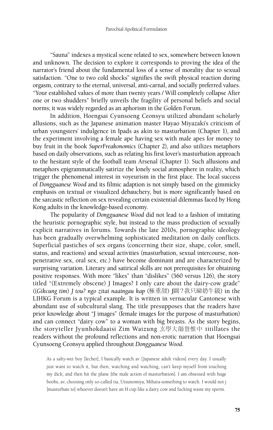"Sauna" indexes a mystical scene related to sex, somewhere between known and unknown. The decision to explore it corresponds to proving the idea of the narrator's friend about the fundamental loss of a sense of morality due to sexual satisfaction. "One to two cold shocks" signifies the swift physical reaction during orgasm, contrary to the eternal, universal, anti-carnal, and socially preferred values. "Your established values of more than twenty years / Will completely collapse After one or two shudders" briefly unveils the fragility of personal beliefs and social norms; it was widely regarded as an aphorism in the Golden Forum.

In addition, Hoengsai Cyunsoeng Ceonsyu utilized abundant scholarly allusions, such as the Japanese animation master Hayao Miyazaki's criticism of urban youngsters' indulgence in Ipads as akin to masturbation (Chapter 1), and the experiment involving a female ape having sex with male apes for money to buy fruit in the book *SuperFreakonomics* (Chapter 2), and also utilizes metaphors based on daily observations, such as relating his first lover's masturbation approach to the hesitant style of the football team Arsenal (Chapter 1). Such allusions and metaphors epigrammatically satirize the lonely social atmosphere in reality, which trigger the phenomenal interest in voyeurism in the first place. The local success of *Dongguanese Wood* and its filmic adaption is not simply based on the gimmicky emphasis on textual or visualized debauchery, but is more significantly based on the sarcastic reflection on sex revealing certain existential dilemmas faced by Hong Kong adults in the knowledge-based economy.

The popularity of *Dongguanese Wood* did not lead to a fashion of imitating the heuristic pornographic style, but instead to the mass production of sexually explicit narratives in forums. Towards the late 2010s, pornographic ideology has been gradually overwhelming sophisticated meditation on daily conflicts. Superficial pastiches of sex organs (concerning their size, shape, color, smell, status, and reactions) and sexual activities (masturbation, sexual intercourse, nonpenetrative sex, oral sex, etc.) have become dominant and are characterized by surprising variation. Literary and satirical skills are not prerequisites for obtaining positive responses. With more "likes" than "dislikes" (560 versus 126), the story titled "(Extremely obscene) J Images? I only care about the dairy-cow grade" ((*Gikcung tim*) *J tou? ngo zitai naaingau kap* (極重甜) J圖?我只睇奶牛級) in the LIHKG Forum is a typical example. It is written in vernacular Cantonese with abundant use of subcultural slang. The title presupposes that the readers have prior knowledge about "J images" (female images for the purpose of masturbation) and can connect "dairy cow" to a woman with big breasts. As the story begins, the storyteller Jyunhokdaaisi Zim Waizung 玄學大師詹惟中 titillates the readers without the profound reflections and non-erotic narration that Hoengsai Cyunsoeng Ceonsyu applied throughout *Dongguanese Wood*.

As a salty-wet boy [lecher], I basically watch av [Japanese adult videos] every day. I usually just want to watch it, but then, watching and watching, can't keep myself from touching my dick, and then hit the plane [the male action of masturbation]. I am obsessed with huge boobs, av, choosing only so-called tia, Utsunomiya, Mihara-something to watch. I would not j [masturbate to] whoever doesn't have an H cup like a dairy cow and fucking waste my sperm.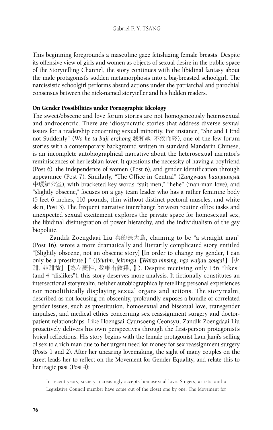This beginning foregrounds a masculine gaze fetishizing female breasts. Despite its offensive view of girls and women as objects of sexual desire in the public space of the Storytelling Channel, the story continues with the libidinal fantasy about the male protagonist's sudden metamorphosis into a big-breasted schoolgirl. The narcissistic schoolgirl performs absurd actions under the patriarchal and parochial consensus between the nick-named storyteller and his hidden readers.

## On Gender Possibilities under Pornographic Ideology

The sweet/obscene and love forum stories are not homogeneously heterosexual and androcentric. There are idiosyncratic stories that address diverse sexual issues for a readership concerning sexual minority. For instance, "She and I End not Suddenly" (*Wo he ta buji erzhong* 我和她 不疾而終), one of the few forum stories with a contemporary background written in standard Mandarin Chinese, is an incomplete autobiographical narrative about the heterosexual narrator's reminiscences of her lesbian lover. It questions the necessity of having a boyfriend (Post 6), the independence of women (Post 6), and gender identification through appearance (Post 7). Similarly, "The Office in Central" (*Zungwaan baangungsat* 中環辦公室), with bracketed key words "suit men," "hehe" (man-man love), and "slightly obscene," focuses on a gay team leader who has a rather feminine body (5 feet 6 inches, 110 pounds, thin without distinct pectoral muscles, and white skin, Post 3). The frequent narrative interchange between routine office tasks and unexpected sexual excitement explores the private space for homosexual sex, the libidinal disintegration of power hierarchy, and the individualism of the gay biopolitic.

Zandik Zoengdaai Liu 真的長大鳥, claiming to be "a straight man" (Post 16), wrote a more dramatically and literarily complicated story entitled "[Slightly obscene, not an obscene story]【In order to change my gender, I can only be a prostitute.】" ([*Siutim, feitimgu*]【*Waizo binsing, ngo waijau zougai*.】[少 甜,非甜故]【為左變性,我唯有做雞。】). Despite receiving only 156 "likes" (and 4 "dislikes"), this story deserves more analysis. It fictionally constitutes an intersectional storyrealm, neither autobiographically retelling personal experiences nor monolithically displaying sexual organs and actions. The storyrealm, described as not focusing on obscenity, profoundly exposes a bundle of correlated gender issues, such as prostitution, homosexual and bisexual love, transgender impulses, and medical ethics concerning sex reassignment surgery and doctorpatient relationships. Like Hoengsai Cyunsoeng Ceonsyu, Zandik Zoengdaai Liu proactively delivers his own perspectives through the first-person protagonist's lyrical reflections. His story begins with the female protagonist Lam Janji's selling of sex to a rich man due to her urgent need for money for sex reassignment surgery (Posts 1 and 2). After her uncaring lovemaking, the sight of many couples on the street leads her to reflect on the Movement for Gender Equality, and relate this to her tragic past (Post 4):

In recent years, society increasingly accepts homosexual love. Singers, artists, and a Legislative Council member have come out of the closet one by one. The Movement for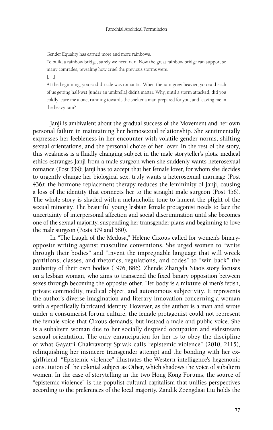Gender Equality has earned more and more rainbows.

To build a rainbow bridge, surely we need rain. Now the great rainbow bridge can support so many comrades, revealing how cruel the previous storms were.

 $[...]$ 

At the beginning, you said drizzle was romantic. When the rain grew heavier, you said each of us getting half-wet [under an umbrella] didn't matter. Why, until a storm attacked, did you coldly leave me alone, running towards the shelter a man prepared for you, and leaving me in the heavy rain?

Janji is ambivalent about the gradual success of the Movement and her own personal failure in maintaining her homosexual relationship. She sentimentally expresses her feebleness in her encounter with volatile gender norms, shifting sexual orientations, and the personal choice of her lover. In the rest of the story, this weakness is a fluidly changing subject in the male storyteller's plots: medical ethics estranges Janji from a male surgeon when she suddenly wants heterosexual romance (Post 339); Janji has to accept that her female lover, for whom she decides to urgently change her biological sex, truly wants a heterosexual marriage (Post 436); the hormone replacement therapy reduces the femininity of Janji, causing a loss of the identity that connects her to the straight male surgeon (Post 456). The whole story is shaded with a melancholic tone to lament the plight of the sexual minority. The beautiful young lesbian female protagonist needs to face the uncertainty of interpersonal affection and social discrimination until she becomes one of the sexual majority, suspending her transgender plans and beginning to love the male surgeon (Posts 579 and 580).

In "The Laugh of the Medusa," Hélène Cixous called for women's binaryopposite writing against masculine conventions. She urged women to "write through their bodies" and "invent the impregnable language that will wreck partitions, classes, and rhetorics, regulations, and codes" to "win back" the authority of their own bodies (1976, 886). Zhende Zhangda Niao's story focuses on a lesbian woman, who aims to transcend the fixed binary opposition between sexes through becoming the opposite other. Her body is a mixture of men's fetish, private commodity, medical object, and autonomous subjectivity. It represents the author's diverse imagination and literary innovation concerning a woman with a specifically fabricated identity. However, as the author is a man and wrote under a consumerist forum culture, the female protagonist could not represent the female voice that Cixous demands, but instead a male and public voice. She is a subaltern woman due to her socially despised occupation and sidestream sexual orientation. The only emancipation for her is to obey the discipline of what Gayatri Chakravorty Spivak calls "epistemic violence" (2010, 2115), relinquishing her insincere transgender attempt and the bonding with her exgirlfriend. "Epistemic violence" illustrates the Western intelligence's hegemonic constitution of the colonial subject as Other, which shadows the voice of subaltern women. In the case of storytelling in the two Hong Kong Forums, the source of "epistemic violence" is the populist cultural capitalism that unifies perspectives according to the preferences of the local majority. Zandik Zoengdaai Liu holds the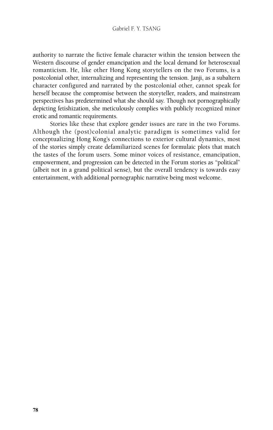## Gabriel F. Y. TSANG

authority to narrate the fictive female character within the tension between the Western discourse of gender emancipation and the local demand for heterosexual romanticism. He, like other Hong Kong storytellers on the two Forums, is a postcolonial other, internalizing and representing the tension. Janji, as a subaltern character configured and narrated by the postcolonial other, cannot speak for herself because the compromise between the storyteller, readers, and mainstream perspectives has predetermined what she should say. Though not pornographically depicting fetishization, she meticulously complies with publicly recognized minor erotic and romantic requirements.

Stories like these that explore gender issues are rare in the two Forums. Although the (post)colonial analytic paradigm is sometimes valid for conceptualizing Hong Kong's connections to exterior cultural dynamics, most of the stories simply create defamiliarized scenes for formulaic plots that match the tastes of the forum users. Some minor voices of resistance, emancipation, empowerment, and progression can be detected in the Forum stories as "political" (albeit not in a grand political sense), but the overall tendency is towards easy entertainment, with additional pornographic narrative being most welcome.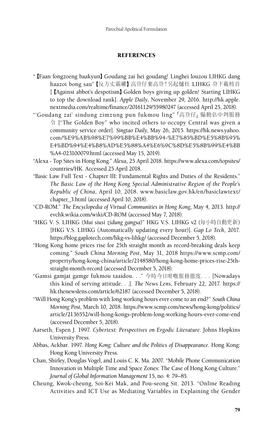## **REFERENCES**

- "【Faan fongzoeng baakyun】Goudang zai hei goudang! Linghei louzou LIHKG dang haazoi bong sau"【反方丈霸權】高登仔棄高登!另起爐灶 LIHKG 登下載榜首 [【Against abbot's despotism】Golden boys giving up golden! Starting LIHKG to top the download rank]. *Apple Daily*, November 29, 2016. http://hk.apple. nextmedia.com/realtime/finance/20161129/55980247 (accessed April 25, 2018).
- "'Goudang zai' sindung zimzung pun fukmou ling"「高登仔」煽動佔中判服務 令 ["The Golden Boy" who incited others to occupy Central was given a community service order]. *Singtao Daily*, May 26, 2015. https://hk.news.yahoo. com/%E9%AB%98%E7%99%BB%E4%BB%94-%E7%85%BD%E5%8B%95% E4%BD%94%E4%B8%AD%E5%88%A4%E6%9C%8D%E5%8B%99%E4%BB %A4-023100079.html (accessed May 15, 2019).
- "Alexa Top Sites in Hong Kong." *Alexa*, 25 April 2018. https://www.alexa.com/topsites/ countries/HK. Accessed 25 April 2018.
- "Basic Law Full Text Chapter III: Fundamental Rights and Duties of the Residents." *The Basic Law of the Hong Kong Special Administrative Region of the People's Republic of China*, April 10, 2018. www.basiclaw.gov.hk/en/basiclawtext/ chapter\_3.html (accessed April 10, 2018).
- "CD-ROM." *The Encyclopedia of Virtual Communities in Hong Kong*, May 4, 2013. http:// evchk.wikia.com/wiki/CD-ROM (accessed May 7, 2018).
- "HKG V. S. LIHKG (*Mui siusi zidung gangsa*)" HKG V.S. LIHKG v2 (每小時自動更新) [HKG V.S. LIHKG (Automatically updating every hour)]. *Gap Lo Tech*, 2017. https://blog.gaplotech.com/hkg-vs-lihkg/ (accessed December 5, 2018).
- "Hong Kong home prices rise for 25th straight month as record-breaking deals keep coming." *South China Morning Post*, May 31, 2018 https://www.scmp.com/ property/hong-kong-china/article/2148580/hong-kong-home-prices-rise-25thstraight-month-record (accessed December 5, 2018).
- "Gamsi gamjat gamge fukmou taaidou. . ." 今時今日咁嘅服務態度. . . [Nowadays this kind of serving attitude. . .]. *The News Lens*, February 22, 2017. https:// hk.thenewslens.com/article/62187 (accessed December 5, 2018).
- "Will Hong Kong's problem with long working hours ever come to an end?" *South China Morning Post*, March 10, 2018. https://www.scmp.com/news/hong-kong/politics/ article/2136552/will-hong-kongs-problem-long-working-hours-ever-come-end (accessed December 5, 2018).
- Aarseth, Espen J. 1997. *Cybertext: Perspectives on Ergodic Literature*. Johns Hopkins University Press.
- Abbas, Ackbar. 1997. *Hong Kong: Culture and the Politics of Disappearance*. Hong Kong: Hong Kong University Press.
- Chan, Shirley, Douglas Vogel, and Louis C. K. Ma. 2007. "Mobile Phone Communication Innovation in Multiple Time and Space Zones: The Case of Hong Kong Culture." *Journal of Global Information Management* 15, no. 4: 79–85.
- Cheung, Kwok-cheung, Soi-Kei Mak, and Pou-seong Sit. 2013. "Online Reading Activities and ICT Use as Mediating Variables in Explaining the Gender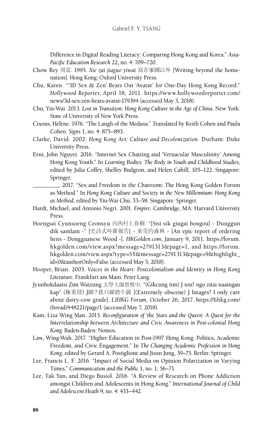Difference in Digital Reading Literacy: Comparing Hong Kong and Korea." *Asia-Pacific Education Research* 22, no. 4: 709–720.

- Chow Rey 周蕾. 1995. *Xie zai jiaguo yiwai* 寫在家國以外 [Writing beyond the homenation]. Hong Kong: Oxford University Press.
- Chu, Karen. "'3D Sex & Zen' Beats Out 'Avatar' for One-Day Hong Kong Record." *Hollywood Reporter*, April 18, 2011. https://www.hollywoodreporter.com/ news/3d-sex-zen-beats-avatar-179394 (accessed May 3, 2018).
- Chu, Yiu-Wai. 2013. *Lost in Transition: Hong Kong Culture in the Age of China*. New York: State of University of New York Press.
- Cixous, Hélène. 1976. "The Laugh of the Medusa." Translated by Keith Cohen and Paula Cohen. *Signs* 1, no. 4: 875–893.
- Clarke, David. 2002. *Hong Kong Art: Culture and Decolonization*. Durham: Duke University Press.
- Erni, John Nguyet. 2016. "Internet Sex Chatting and 'Vernacular Masculinity' Among Hong Kong Youth." In *Learning Bodies: The Body in Youth and Childhood Studies*, edited by Julia Coffey, Shelley Budgeon, and Helen Cahill, 105–122. Singapore: Springer.
	- \_\_\_\_\_\_\_\_\_\_. 2017. "Sex and Freedom in the Chatroom: The Hong Kong Golden Forum as Method." In *Hong Kong Culture and Society in the New Millennium: Hong Kong as Method*, edited by Yiu-Wai Chu, 33–58. Singapore: Springer.
- Hardt, Michael, and Antonio Negri. 2001. *Empire*. Cambridge, MA: Harvard University Press.
- Hoengsai Cyunsoeng Ceonsyu 向西村上春樹. "[Sisi sik giugai bougou] Dunggun dik samlam -" [史詩式叫雞報告] - 東莞的森林 - [An epic report of ordering hens - Dongguanese Wood -]. *HKGolden.com*, January 9, 2011. https://forum. hkgolden.com/view.aspx?message=2791313&page=1, and https://forum. hkgolden.com/view.aspx?type=SY&message=2791313&page=9&highlight\_ id=0&authorOnly=False (accessed May 5, 2018).
- Hooper, Brian. 2003. *Voices in the Heart: Postcolonialism and Identity in Hong Kong Literature*. Frankfurt am Main: Peter Lang.
- Jyunhokdaaisi Zim Waizung 玄學大師詹惟中. "(Gikcung tim) J tou? ngo zitai naaingau kap" (極重甜) J圖?我只睇奶牛級 [(Extremely obscene) J Images? I only care about dairy-cow grade]. *LIHKG Forum*, October 26, 2017. https://lihkg.com/ thread/448221/page/1 (accessed May 7, 2018).
- Kam, Liza Wing Man. 2015. *Reconfiguration of 'the Stars and the Queen: A Quest for the Interrelationship between Architecture and Civic Awareness in Post-colonial Hong Kong*. Baden-Baden: Nomos.
- Law, Wing-Wah. 2017. "Higher Education in Post-1997 Hong Kong: Politics, Academic Freedom, and Civic Engagement." In *The Changing Academic Profession in Hong Kong*, edited by Gerard A. Postiglione and Jisun Jung, 39–75. Berlin: Springer.
- Lee, Francis L. F. 2016. "Impact of Social Media on Opinion Polarization in Varying Times." *Communication and the Public* 1, no. 1: 56–71.
- Lee, Tak Yan, and Diego Busiol. 2016. "A Review of Research on Phone Addiction amongst Children and Adolescents in Hong Kong." *International Journal of Child and Adolescent Heath* 9, no. 4: 433–442.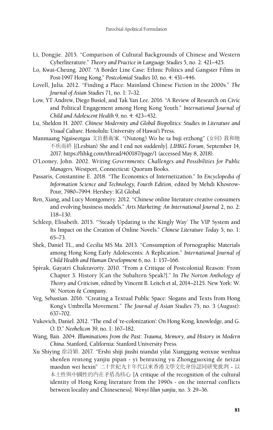- Li, Dongjie. 2015. "Comparison of Cultural Backgrounds of Chinese and Western Cyberliterature." *Theory and Practice in Language Studies* 5, no. 2: 421–425.
- Lo, Kwai-Cheung. 2007. "A Border Line Case: Ethnic Politics and Gangster Films in Post-1997 Hong Kong." *Postcolonial Studies* 10, no. 4: 431–446.
- Lovell, Julia. 2012. "Finding a Place: Mainland Chinese Fiction in the 2000s." *The Journal of Asian Studies* 71, no. 1: 7–32.
- Low, YT Andrew, Diego Busiol, and Tak Yan Lee. 2016. "A Review of Research on Civic and Political Engagement among Hong Kong Youth." *International Journal of Child and Adolescent Health* 9, no. 4: 423–432.
- Lu, Sheldon H. 2007. *Chinese Modernity and Global Biopolitics: Studies in Literature and Visual Culture*. Honolulu: University of Hawai'i Press.
- Manmaang Ngaiseotgaa 文盲藝術家. "(Nutong) Wo he ta buji erzhong" (女同) 我和她 不疾而終 [(Lesbian) She and I end not suddenly]. *LIHKG Forum*, September 14, 2017. https://lihkg.com/thread/400187/page/1 (accessed May 8, 2018).
- O'Looney, John. 2002. *Writing Governments: Challenges and Possibilities for Public Managers*. Westport, Connecticut: Quorum Books.
- Passaris, Constantine E. 2018. "The Economics of Internetization." In *Encyclopedia of Information Science and Technology, Fourth Edition*, edited by Mehdi Khosrow-Pour, 7980–7994. Hershey: IGI Global.
- Ren, Xiang, and Lucy Montgomery. 2012. "Chinese online literature creative consumers and evolving business models." *Arts Marketing: An International Journal* 2, no. 2: 118–130.
- Schleep, Elisabeth. 2015. "'Steady Updating is the Kingly Way' The VIP System and Its Impact on the Creation of Online Novels." *Chinese Literature Today* 5, no. 1: 65–73.
- Shek, Daniel TL, and Cecilia MS Ma. 2013. "Consumption of Pornographic Materials among Hong Kong Early Adolescents: A Replication." *International Journal of Child Health and Human Development* 6, no. 1: 157–166.
- Spivak, Gayatri Chakravorty. 2010. "From a Critique of Postcolonial Reason: From Chapter 3. History [Can the Subaltern Speak?]." In *The Norton Anthology of Theory and Criticism*, edited by Vincent B. Leitch et al, 2014–2125. New York: W. W. Norton & Company.
- Veg, Sebastian. 2016. "Creating a Textual Public Space: Slogans and Texts from Hong Kong's Umbrella Movement." *The Journal of Asian Studies* 75, no. 3 (August): 637–702.
- Vukovich, Daniel. 2012. "The end of 're-colonization': On Hong Kong, knowledge, and G. O. D." *Neohelicon* 39, no. 1: 167–182.
- Wang, Ban. 2004. *Illuminations from the Past: Trauma, Memory, and History in Modern China*. Stanford, California: Stanford University Press.
- Xu Shiying 徐詩穎. 2017. "Ershi shiji jiushi niandai yilai Xianggang wenxue wenhua shenfen rentong yanjiu pipan - yi bentuxing yu Zhongguoxing de neizai maodun wei hexin" 二十世紀九十年代以來香港文學文化身份認同研究批判 - 以 本土性與中國性的內在矛盾為核心 [A critique of the recognition of the cultural identity of Hong Kong literature from the 1990s - on the internal conflicts between locality and Chineseness]. *Wenyi lilun yanjiu*, no. 3: 29–36.